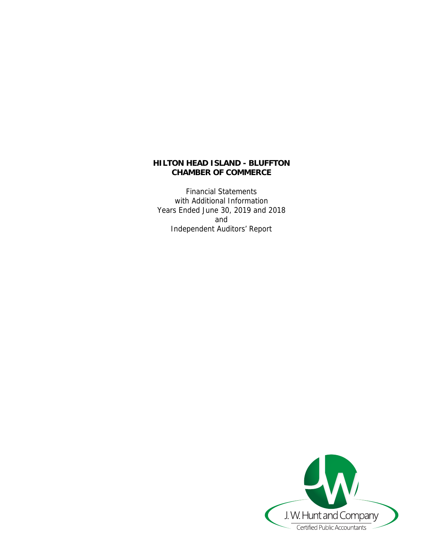Financial Statements with Additional Information Years Ended June 30, 2019 and 2018 and Independent Auditors' Report

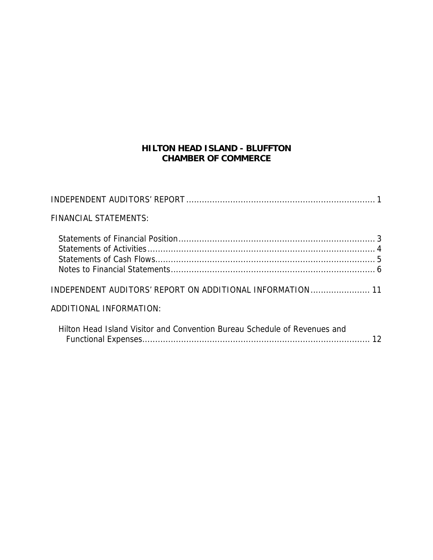| <b>FINANCIAL STATEMENTS:</b>                                              |  |
|---------------------------------------------------------------------------|--|
|                                                                           |  |
| INDEPENDENT AUDITORS' REPORT ON ADDITIONAL INFORMATION 11                 |  |
| ADDITIONAL INFORMATION:                                                   |  |
| Hilton Head Island Visitor and Convention Bureau Schedule of Revenues and |  |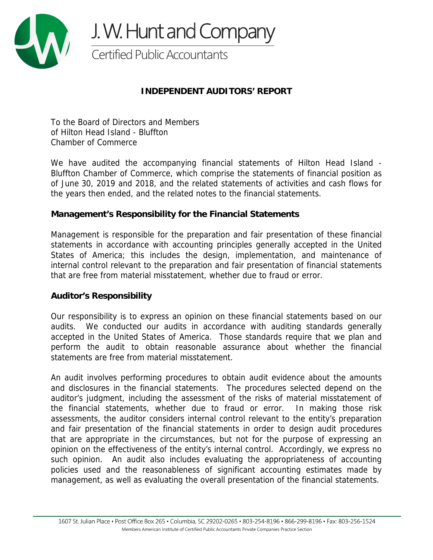

J. W. Hunt and Company

Certified Public Accountants

# **INDEPENDENT AUDITORS' REPORT**

To the Board of Directors and Members of Hilton Head Island - Bluffton Chamber of Commerce

We have audited the accompanying financial statements of Hilton Head Island - Bluffton Chamber of Commerce, which comprise the statements of financial position as of June 30, 2019 and 2018, and the related statements of activities and cash flows for the years then ended, and the related notes to the financial statements.

# **Management's Responsibility for the Financial Statements**

Management is responsible for the preparation and fair presentation of these financial statements in accordance with accounting principles generally accepted in the United States of America; this includes the design, implementation, and maintenance of internal control relevant to the preparation and fair presentation of financial statements that are free from material misstatement, whether due to fraud or error.

# **Auditor's Responsibility**

Our responsibility is to express an opinion on these financial statements based on our audits. We conducted our audits in accordance with auditing standards generally accepted in the United States of America. Those standards require that we plan and perform the audit to obtain reasonable assurance about whether the financial statements are free from material misstatement.

An audit involves performing procedures to obtain audit evidence about the amounts and disclosures in the financial statements. The procedures selected depend on the auditor's judgment, including the assessment of the risks of material misstatement of the financial statements, whether due to fraud or error. In making those risk assessments, the auditor considers internal control relevant to the entity's preparation and fair presentation of the financial statements in order to design audit procedures that are appropriate in the circumstances, but not for the purpose of expressing an opinion on the effectiveness of the entity's internal control. Accordingly, we express no such opinion. An audit also includes evaluating the appropriateness of accounting policies used and the reasonableness of significant accounting estimates made by management, as well as evaluating the overall presentation of the financial statements.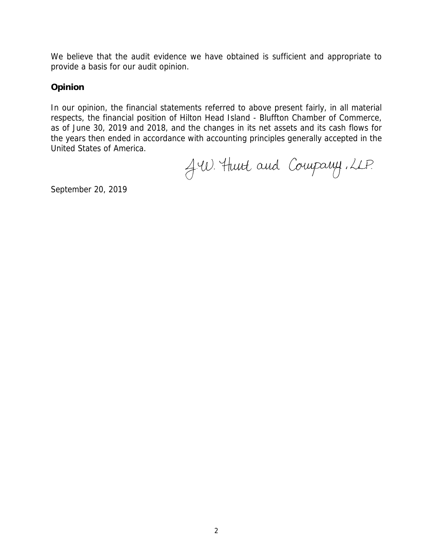We believe that the audit evidence we have obtained is sufficient and appropriate to provide a basis for our audit opinion.

# **Opinion**

In our opinion, the financial statements referred to above present fairly, in all material respects, the financial position of Hilton Head Island - Bluffton Chamber of Commerce, as of June 30, 2019 and 2018, and the changes in its net assets and its cash flows for the years then ended in accordance with accounting principles generally accepted in the United States of America.

Jev. Hunt and Company, LLP.

September 20, 2019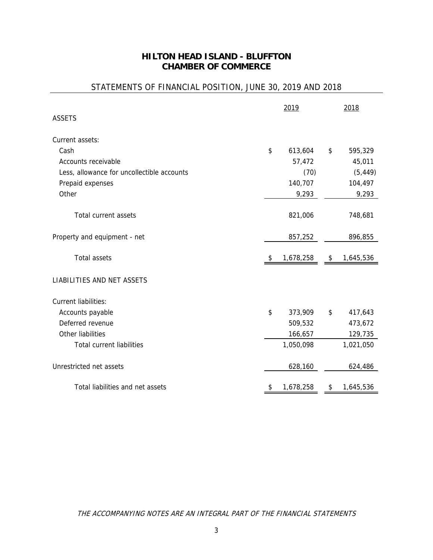## STATEMENTS OF FINANCIAL POSITION, JUNE 30, 2019 AND 2018

|                                            |    | 2019      | 2018            |
|--------------------------------------------|----|-----------|-----------------|
| <b>ASSETS</b>                              |    |           |                 |
| Current assets:                            |    |           |                 |
| Cash                                       | \$ | 613,604   | \$<br>595,329   |
| Accounts receivable                        |    | 57,472    | 45,011          |
| Less, allowance for uncollectible accounts |    | (70)      | (5, 449)        |
| Prepaid expenses                           |    | 140,707   | 104,497         |
| Other                                      |    | 9,293     | 9,293           |
| Total current assets                       |    | 821,006   | 748,681         |
| Property and equipment - net               |    | 857,252   | 896,855         |
| <b>Total assets</b>                        | -5 | 1,678,258 | \$<br>1,645,536 |
| <b>LIABILITIES AND NET ASSETS</b>          |    |           |                 |
| <b>Current liabilities:</b>                |    |           |                 |
| Accounts payable                           | \$ | 373,909   | \$<br>417,643   |
| Deferred revenue                           |    | 509,532   | 473,672         |
| Other liabilities                          |    | 166,657   | 129,735         |
| <b>Total current liabilities</b>           |    | 1,050,098 | 1,021,050       |
| Unrestricted net assets                    |    | 628,160   | 624,486         |
| Total liabilities and net assets           | \$ | 1,678,258 | \$<br>1,645,536 |

THE ACCOMPANYING NOTES ARE AN INTEGRAL PART OF THE FINANCIAL STATEMENTS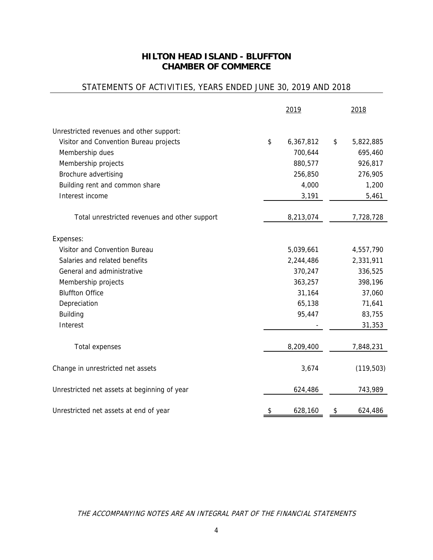# STATEMENTS OF ACTIVITIES, YEARS ENDED JUNE 30, 2019 AND 2018

|                                               | 2019            | 2018            |
|-----------------------------------------------|-----------------|-----------------|
| Unrestricted revenues and other support:      |                 |                 |
| Visitor and Convention Bureau projects        | \$<br>6,367,812 | \$<br>5,822,885 |
| Membership dues                               | 700,644         | 695,460         |
| Membership projects                           | 880,577         | 926,817         |
| Brochure advertising                          | 256,850         | 276,905         |
| Building rent and common share                | 4,000           | 1,200           |
| Interest income                               | 3,191           | 5,461           |
| Total unrestricted revenues and other support | 8,213,074       | 7,728,728       |
| Expenses:                                     |                 |                 |
| Visitor and Convention Bureau                 | 5,039,661       | 4,557,790       |
| Salaries and related benefits                 | 2,244,486       | 2,331,911       |
| General and administrative                    | 370,247         | 336,525         |
| Membership projects                           | 363,257         | 398,196         |
| <b>Bluffton Office</b>                        | 31,164          | 37,060          |
| Depreciation                                  | 65,138          | 71,641          |
| <b>Building</b>                               | 95,447          | 83,755          |
| Interest                                      |                 | 31,353          |
| <b>Total expenses</b>                         | 8,209,400       | 7,848,231       |
| Change in unrestricted net assets             | 3,674           | (119, 503)      |
| Unrestricted net assets at beginning of year  | 624,486         | 743,989         |
| Unrestricted net assets at end of year        | \$<br>628,160   | \$<br>624,486   |

THE ACCOMPANYING NOTES ARE AN INTEGRAL PART OF THE FINANCIAL STATEMENTS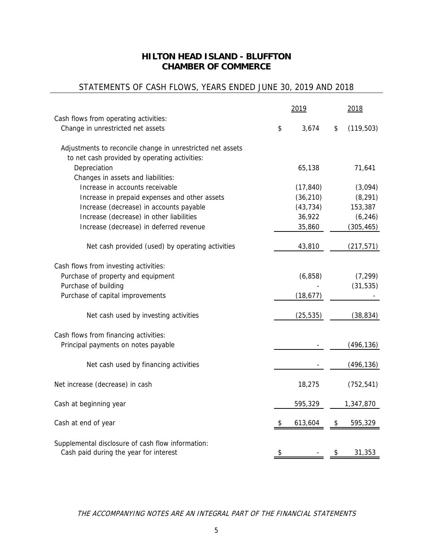## STATEMENTS OF CASH FLOWS, YEARS ENDED JUNE 30, 2019 AND 2018

|                                                                            | 2019          | 2018             |  |
|----------------------------------------------------------------------------|---------------|------------------|--|
| Cash flows from operating activities:<br>Change in unrestricted net assets | \$<br>3,674   | \$<br>(119, 503) |  |
| Adjustments to reconcile change in unrestricted net assets                 |               |                  |  |
| to net cash provided by operating activities:                              |               |                  |  |
| Depreciation                                                               | 65,138        | 71,641           |  |
| Changes in assets and liabilities:                                         |               |                  |  |
| Increase in accounts receivable                                            | (17, 840)     | (3,094)          |  |
| Increase in prepaid expenses and other assets                              | (36, 210)     | (8, 291)         |  |
| Increase (decrease) in accounts payable                                    | (43, 734)     | 153,387          |  |
| Increase (decrease) in other liabilities                                   | 36,922        | (6, 246)         |  |
| Increase (decrease) in deferred revenue                                    | 35,860        | (305, 465)       |  |
| Net cash provided (used) by operating activities                           | 43,810        | (217, 571)       |  |
| Cash flows from investing activities:                                      |               |                  |  |
| Purchase of property and equipment                                         | (6, 858)      | (7, 299)         |  |
| Purchase of building                                                       |               | (31, 535)        |  |
| Purchase of capital improvements                                           | (18, 677)     |                  |  |
| Net cash used by investing activities                                      | (25, 535)     | (38, 834)        |  |
| Cash flows from financing activities:                                      |               |                  |  |
| Principal payments on notes payable                                        |               | (496,136)        |  |
| Net cash used by financing activities                                      |               | (496, 136)       |  |
| Net increase (decrease) in cash                                            | 18,275        | (752, 541)       |  |
| Cash at beginning year                                                     | 595,329       | 1,347,870        |  |
| Cash at end of year                                                        | \$<br>613,604 | \$<br>595,329    |  |
| Supplemental disclosure of cash flow information:                          |               |                  |  |
| Cash paid during the year for interest                                     | \$            | \$<br>31,353     |  |

THE ACCOMPANYING NOTES ARE AN INTEGRAL PART OF THE FINANCIAL STATEMENTS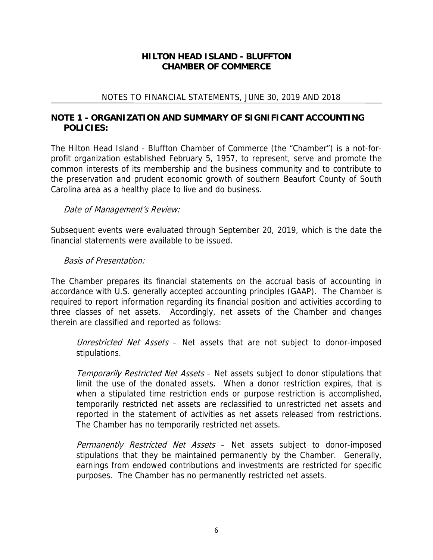# NOTES TO FINANCIAL STATEMENTS, JUNE 30, 2019 AND 2018

# **NOTE 1 - ORGANIZATION AND SUMMARY OF SIGNIFICANT ACCOUNTING POLICIES:**

The Hilton Head Island - Bluffton Chamber of Commerce (the "Chamber") is a not-forprofit organization established February 5, 1957, to represent, serve and promote the common interests of its membership and the business community and to contribute to the preservation and prudent economic growth of southern Beaufort County of South Carolina area as a healthy place to live and do business.

### Date of Management's Review:

Subsequent events were evaluated through September 20, 2019, which is the date the financial statements were available to be issued.

### Basis of Presentation:

The Chamber prepares its financial statements on the accrual basis of accounting in accordance with U.S. generally accepted accounting principles (GAAP). The Chamber is required to report information regarding its financial position and activities according to three classes of net assets. Accordingly, net assets of the Chamber and changes therein are classified and reported as follows:

Unrestricted Net Assets – Net assets that are not subject to donor-imposed stipulations.

Temporarily Restricted Net Assets - Net assets subject to donor stipulations that limit the use of the donated assets. When a donor restriction expires, that is when a stipulated time restriction ends or purpose restriction is accomplished, temporarily restricted net assets are reclassified to unrestricted net assets and reported in the statement of activities as net assets released from restrictions. The Chamber has no temporarily restricted net assets.

Permanently Restricted Net Assets – Net assets subject to donor-imposed stipulations that they be maintained permanently by the Chamber. Generally, earnings from endowed contributions and investments are restricted for specific purposes. The Chamber has no permanently restricted net assets.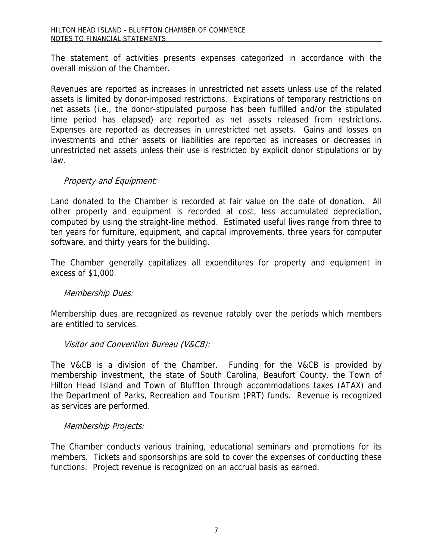The statement of activities presents expenses categorized in accordance with the overall mission of the Chamber.

Revenues are reported as increases in unrestricted net assets unless use of the related assets is limited by donor-imposed restrictions. Expirations of temporary restrictions on net assets (i.e., the donor-stipulated purpose has been fulfilled and/or the stipulated time period has elapsed) are reported as net assets released from restrictions. Expenses are reported as decreases in unrestricted net assets. Gains and losses on investments and other assets or liabilities are reported as increases or decreases in unrestricted net assets unless their use is restricted by explicit donor stipulations or by law.

## Property and Equipment:

Land donated to the Chamber is recorded at fair value on the date of donation. All other property and equipment is recorded at cost, less accumulated depreciation, computed by using the straight-line method. Estimated useful lives range from three to ten years for furniture, equipment, and capital improvements, three years for computer software, and thirty years for the building.

The Chamber generally capitalizes all expenditures for property and equipment in excess of \$1,000.

### Membership Dues:

Membership dues are recognized as revenue ratably over the periods which members are entitled to services.

### Visitor and Convention Bureau (V&CB):

The V&CB is a division of the Chamber. Funding for the V&CB is provided by membership investment, the state of South Carolina, Beaufort County, the Town of Hilton Head Island and Town of Bluffton through accommodations taxes (ATAX) and the Department of Parks, Recreation and Tourism (PRT) funds. Revenue is recognized as services are performed.

### Membership Projects:

The Chamber conducts various training, educational seminars and promotions for its members. Tickets and sponsorships are sold to cover the expenses of conducting these functions. Project revenue is recognized on an accrual basis as earned.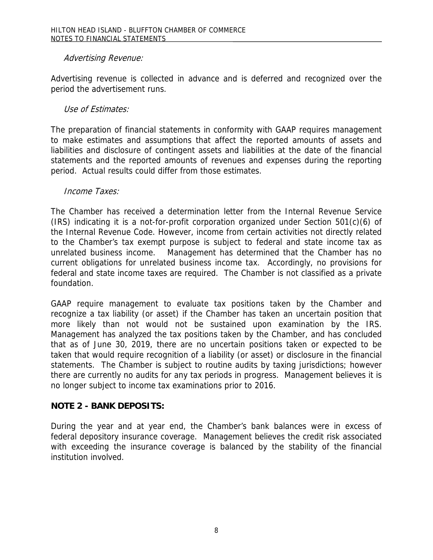## Advertising Revenue:

Advertising revenue is collected in advance and is deferred and recognized over the period the advertisement runs.

## Use of Estimates:

The preparation of financial statements in conformity with GAAP requires management to make estimates and assumptions that affect the reported amounts of assets and liabilities and disclosure of contingent assets and liabilities at the date of the financial statements and the reported amounts of revenues and expenses during the reporting period. Actual results could differ from those estimates.

## Income Taxes:

The Chamber has received a determination letter from the Internal Revenue Service (IRS) indicating it is a not-for-profit corporation organized under Section 501(c)(6) of the Internal Revenue Code. However, income from certain activities not directly related to the Chamber's tax exempt purpose is subject to federal and state income tax as unrelated business income. Management has determined that the Chamber has no current obligations for unrelated business income tax. Accordingly, no provisions for federal and state income taxes are required. The Chamber is not classified as a private foundation.

GAAP require management to evaluate tax positions taken by the Chamber and recognize a tax liability (or asset) if the Chamber has taken an uncertain position that more likely than not would not be sustained upon examination by the IRS. Management has analyzed the tax positions taken by the Chamber, and has concluded that as of June 30, 2019, there are no uncertain positions taken or expected to be taken that would require recognition of a liability (or asset) or disclosure in the financial statements. The Chamber is subject to routine audits by taxing jurisdictions; however there are currently no audits for any tax periods in progress. Management believes it is no longer subject to income tax examinations prior to 2016.

# **NOTE 2 - BANK DEPOSITS:**

During the year and at year end, the Chamber's bank balances were in excess of federal depository insurance coverage. Management believes the credit risk associated with exceeding the insurance coverage is balanced by the stability of the financial institution involved.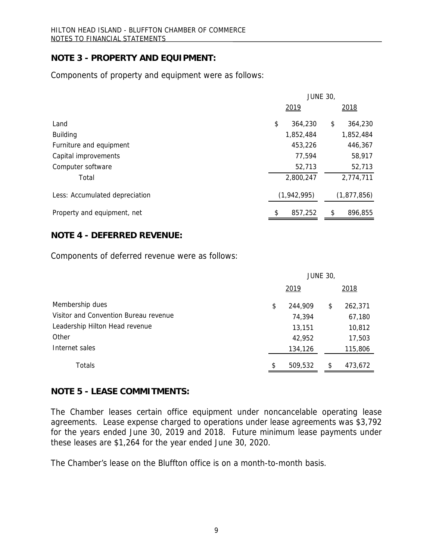# **NOTE 3 - PROPERTY AND EQUIPMENT:**

Components of property and equipment were as follows:

|                                | <b>JUNE 30,</b> |             |      |               |
|--------------------------------|-----------------|-------------|------|---------------|
|                                |                 | 2019        | 2018 |               |
| Land                           | \$              | 364,230     | \$   | 364,230       |
| <b>Building</b>                |                 | 1,852,484   |      | 1,852,484     |
| Furniture and equipment        |                 | 453,226     |      | 446,367       |
| Capital improvements           |                 | 77,594      |      | 58,917        |
| Computer software              |                 | 52,713      |      | 52,713        |
| Total                          |                 | 2,800,247   |      | 2,774,711     |
| Less: Accumulated depreciation |                 | (1,942,995) |      | (1, 877, 856) |
| Property and equipment, net    | \$              | 857,252     | \$   | 896,855       |

# **NOTE 4 - DEFERRED REVENUE:**

Components of deferred revenue were as follows:

|                                       |      | <b>JUNE 30,</b> |    |         |
|---------------------------------------|------|-----------------|----|---------|
|                                       | 2019 |                 |    | 2018    |
| Membership dues                       | \$   | 244,909         | \$ | 262,371 |
| Visitor and Convention Bureau revenue |      | 74,394          |    | 67,180  |
| Leadership Hilton Head revenue        |      | 13,151          |    | 10,812  |
| Other                                 |      | 42,952          |    | 17,503  |
| Internet sales                        |      | 134,126         |    | 115,806 |
| Totals                                | \$   | 509,532         | \$ | 473,672 |

### **NOTE 5 - LEASE COMMITMENTS:**

The Chamber leases certain office equipment under noncancelable operating lease agreements. Lease expense charged to operations under lease agreements was \$3,792 for the years ended June 30, 2019 and 2018. Future minimum lease payments under these leases are \$1,264 for the year ended June 30, 2020.

The Chamber's lease on the Bluffton office is on a month-to-month basis.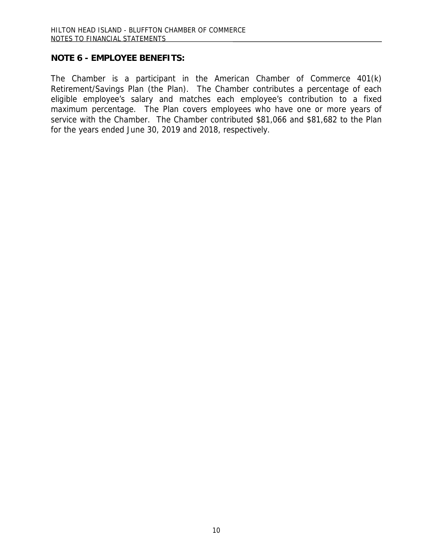## **NOTE 6 - EMPLOYEE BENEFITS:**

The Chamber is a participant in the American Chamber of Commerce 401(k) Retirement/Savings Plan (the Plan). The Chamber contributes a percentage of each eligible employee's salary and matches each employee's contribution to a fixed maximum percentage. The Plan covers employees who have one or more years of service with the Chamber. The Chamber contributed \$81,066 and \$81,682 to the Plan for the years ended June 30, 2019 and 2018, respectively.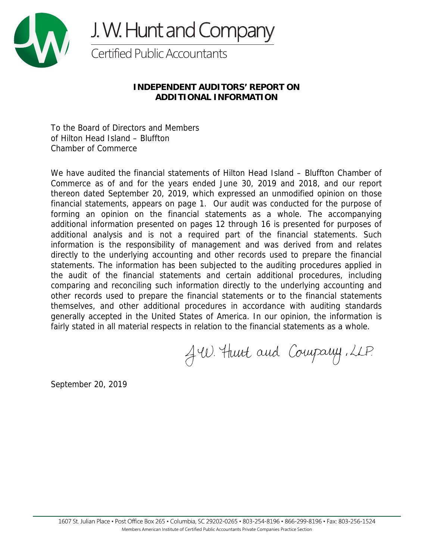

# **INDEPENDENT AUDITORS' REPORT ON ADDITIONAL INFORMATION**

To the Board of Directors and Members of Hilton Head Island – Bluffton Chamber of Commerce

We have audited the financial statements of Hilton Head Island – Bluffton Chamber of Commerce as of and for the years ended June 30, 2019 and 2018, and our report thereon dated September 20, 2019, which expressed an unmodified opinion on those financial statements, appears on page 1. Our audit was conducted for the purpose of forming an opinion on the financial statements as a whole. The accompanying additional information presented on pages 12 through 16 is presented for purposes of additional analysis and is not a required part of the financial statements. Such information is the responsibility of management and was derived from and relates directly to the underlying accounting and other records used to prepare the financial statements. The information has been subjected to the auditing procedures applied in the audit of the financial statements and certain additional procedures, including comparing and reconciling such information directly to the underlying accounting and other records used to prepare the financial statements or to the financial statements themselves, and other additional procedures in accordance with auditing standards generally accepted in the United States of America. In our opinion, the information is fairly stated in all material respects in relation to the financial statements as a whole.

Ju. Hunt and Company, LLP.

September 20, 2019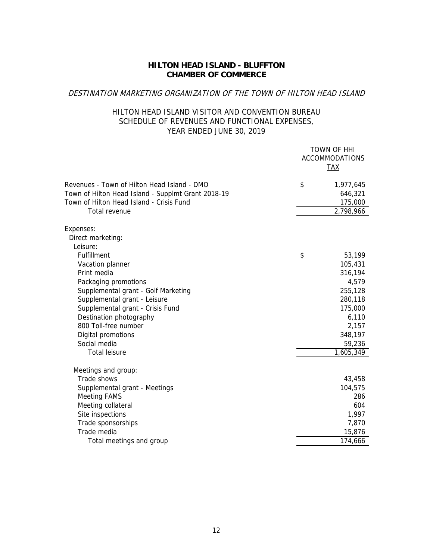### DESTINATION MARKETING ORGANIZATION OF THE TOWN OF HILTON HEAD ISLAND

#### HILTON HEAD ISLAND VISITOR AND CONVENTION BUREAU SCHEDULE OF REVENUES AND FUNCTIONAL EXPENSES, YEAR ENDED JUNE 30, 2019

|                                                    | <b>TOWN OF HHI</b><br><b>ACCOMMODATIONS</b><br><b>TAX</b> |           |  |
|----------------------------------------------------|-----------------------------------------------------------|-----------|--|
| Revenues - Town of Hilton Head Island - DMO        | \$                                                        | 1,977,645 |  |
| Town of Hilton Head Island - Supplmt Grant 2018-19 |                                                           | 646,321   |  |
| Town of Hilton Head Island - Crisis Fund           |                                                           | 175,000   |  |
| Total revenue                                      |                                                           | 2,798,966 |  |
| Expenses:                                          |                                                           |           |  |
| Direct marketing:                                  |                                                           |           |  |
| Leisure:                                           |                                                           |           |  |
| <b>Fulfillment</b>                                 | \$                                                        | 53,199    |  |
| Vacation planner                                   |                                                           | 105,431   |  |
| Print media                                        |                                                           | 316,194   |  |
| Packaging promotions                               |                                                           | 4,579     |  |
| Supplemental grant - Golf Marketing                |                                                           | 255,128   |  |
| Supplemental grant - Leisure                       |                                                           | 280,118   |  |
| Supplemental grant - Crisis Fund                   |                                                           | 175,000   |  |
| Destination photography                            |                                                           | 6,110     |  |
| 800 Toll-free number                               |                                                           | 2,157     |  |
| Digital promotions                                 |                                                           | 348,197   |  |
| Social media                                       |                                                           | 59,236    |  |
| <b>Total leisure</b>                               |                                                           | 1,605,349 |  |
| Meetings and group:                                |                                                           |           |  |
| Trade shows                                        |                                                           | 43,458    |  |
| Supplemental grant - Meetings                      |                                                           | 104,575   |  |
| <b>Meeting FAMS</b>                                |                                                           | 286       |  |
| Meeting collateral                                 |                                                           | 604       |  |
| Site inspections                                   |                                                           | 1,997     |  |
| Trade sponsorships                                 |                                                           | 7,870     |  |
| Trade media                                        |                                                           | 15,876    |  |
| Total meetings and group                           |                                                           | 174,666   |  |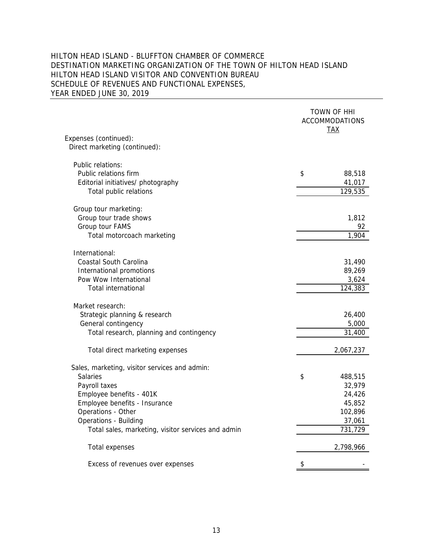#### HILTON HEAD ISLAND - BLUFFTON CHAMBER OF COMMERCE DESTINATION MARKETING ORGANIZATION OF THE TOWN OF HILTON HEAD ISLAND HILTON HEAD ISLAND VISITOR AND CONVENTION BUREAU SCHEDULE OF REVENUES AND FUNCTIONAL EXPENSES, YEAR ENDED JUNE 30, 2019

|                                                                 | TOWN OF HHI<br><b>ACCOMMODATIONS</b><br><b>TAX</b> |                   |  |
|-----------------------------------------------------------------|----------------------------------------------------|-------------------|--|
| Expenses (continued):<br>Direct marketing (continued):          |                                                    |                   |  |
| Public relations:<br>Public relations firm                      | \$                                                 | 88,518            |  |
| Editorial initiatives/ photography<br>Total public relations    |                                                    | 41,017<br>129,535 |  |
| Group tour marketing:<br>Group tour trade shows                 |                                                    | 1,812             |  |
| Group tour FAMS<br>Total motorcoach marketing                   |                                                    | 92<br>1,904       |  |
| International:                                                  |                                                    |                   |  |
| Coastal South Carolina                                          |                                                    | 31,490            |  |
| International promotions<br>Pow Wow International               |                                                    | 89,269<br>3,624   |  |
| <b>Total international</b>                                      |                                                    | 124,383           |  |
| Market research:<br>Strategic planning & research               |                                                    | 26,400            |  |
| General contingency<br>Total research, planning and contingency |                                                    | 5,000<br>31,400   |  |
| Total direct marketing expenses                                 |                                                    | 2,067,237         |  |
| Sales, marketing, visitor services and admin:                   |                                                    |                   |  |
| <b>Salaries</b><br>Payroll taxes                                | \$                                                 | 488,515<br>32,979 |  |
| Employee benefits - 401K                                        |                                                    | 24,426            |  |
| Employee benefits - Insurance                                   |                                                    | 45,852            |  |
| Operations - Other                                              |                                                    | 102,896           |  |
| Operations - Building                                           |                                                    | 37,061            |  |
| Total sales, marketing, visitor services and admin              |                                                    | 731,729           |  |
| Total expenses                                                  |                                                    | 2,798,966         |  |
| Excess of revenues over expenses                                | \$                                                 |                   |  |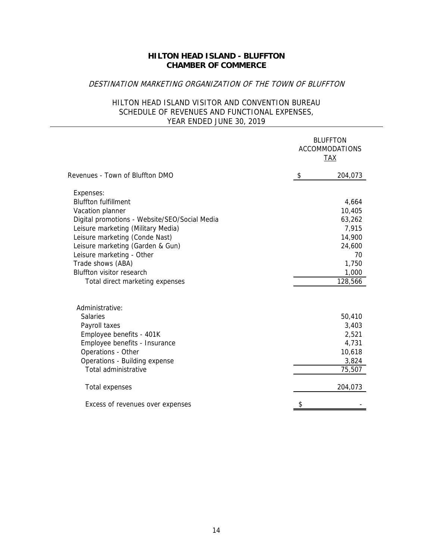#### DESTINATION MARKETING ORGANIZATION OF THE TOWN OF BLUFFTON

#### HILTON HEAD ISLAND VISITOR AND CONVENTION BUREAU SCHEDULE OF REVENUES AND FUNCTIONAL EXPENSES, YEAR ENDED JUNE 30, 2019

|                                                                     |    | <b>BLUFFTON</b><br><b>ACCOMMODATIONS</b><br>TAX |  |  |
|---------------------------------------------------------------------|----|-------------------------------------------------|--|--|
| Revenues - Town of Bluffton DMO                                     | \$ | 204,073                                         |  |  |
| Expenses:                                                           |    |                                                 |  |  |
| <b>Bluffton fulfillment</b>                                         |    | 4,664                                           |  |  |
| Vacation planner                                                    |    | 10,405                                          |  |  |
| Digital promotions - Website/SEO/Social Media                       |    | 63,262                                          |  |  |
| Leisure marketing (Military Media)                                  |    | 7,915                                           |  |  |
| Leisure marketing (Conde Nast)                                      |    | 14,900                                          |  |  |
| Leisure marketing (Garden & Gun)                                    |    | 24,600                                          |  |  |
| Leisure marketing - Other                                           |    | 70                                              |  |  |
| Trade shows (ABA)                                                   |    | 1,750                                           |  |  |
| <b>Bluffton visitor research</b><br>Total direct marketing expenses |    | 1,000<br>128,566                                |  |  |
|                                                                     |    |                                                 |  |  |
| Administrative:                                                     |    |                                                 |  |  |
| <b>Salaries</b>                                                     |    | 50,410                                          |  |  |
| Payroll taxes                                                       |    | 3,403                                           |  |  |
| Employee benefits - 401K                                            |    | 2,521                                           |  |  |
| Employee benefits - Insurance                                       |    | 4,731                                           |  |  |
| Operations - Other                                                  |    | 10,618                                          |  |  |
| Operations - Building expense                                       |    | 3,824                                           |  |  |
| Total administrative                                                |    | 75,507                                          |  |  |
| Total expenses                                                      |    | 204,073                                         |  |  |
| Excess of revenues over expenses                                    | S  |                                                 |  |  |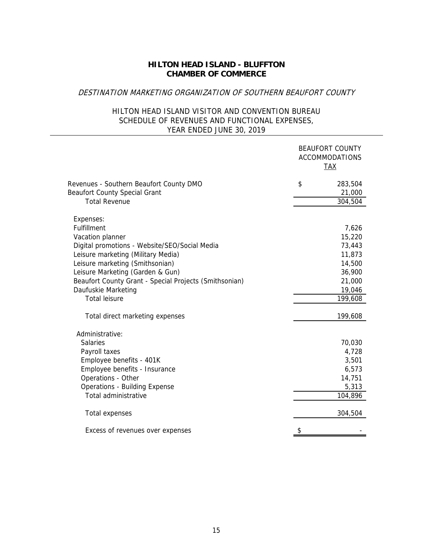#### DESTINATION MARKETING ORGANIZATION OF SOUTHERN BEAUFORT COUNTY

#### HILTON HEAD ISLAND VISITOR AND CONVENTION BUREAU SCHEDULE OF REVENUES AND FUNCTIONAL EXPENSES, YEAR ENDED JUNE 30, 2019

|                                                        | <b>BEAUFORT COUNTY</b><br><b>ACCOMMODATIONS</b><br>TAX |         |  |
|--------------------------------------------------------|--------------------------------------------------------|---------|--|
| Revenues - Southern Beaufort County DMO                | \$                                                     | 283,504 |  |
| Beaufort County Special Grant                          |                                                        | 21,000  |  |
| <b>Total Revenue</b>                                   |                                                        | 304,504 |  |
| Expenses:                                              |                                                        |         |  |
| Fulfillment                                            |                                                        | 7,626   |  |
| Vacation planner                                       |                                                        | 15,220  |  |
| Digital promotions - Website/SEO/Social Media          |                                                        | 73,443  |  |
| Leisure marketing (Military Media)                     |                                                        | 11,873  |  |
| Leisure marketing (Smithsonian)                        |                                                        | 14,500  |  |
| Leisure Marketing (Garden & Gun)                       |                                                        | 36,900  |  |
| Beaufort County Grant - Special Projects (Smithsonian) |                                                        | 21,000  |  |
| Daufuskie Marketing                                    |                                                        | 19,046  |  |
| <b>Total leisure</b>                                   |                                                        | 199,608 |  |
| Total direct marketing expenses                        |                                                        | 199,608 |  |
| Administrative:                                        |                                                        |         |  |
| <b>Salaries</b>                                        |                                                        | 70,030  |  |
| Payroll taxes                                          |                                                        | 4,728   |  |
| Employee benefits - 401K                               |                                                        | 3,501   |  |
| Employee benefits - Insurance                          |                                                        | 6,573   |  |
| Operations - Other                                     |                                                        | 14,751  |  |
| <b>Operations - Building Expense</b>                   |                                                        | 5,313   |  |
| Total administrative                                   |                                                        | 104,896 |  |
| Total expenses                                         |                                                        | 304,504 |  |
| Excess of revenues over expenses                       | \$                                                     |         |  |
|                                                        |                                                        |         |  |